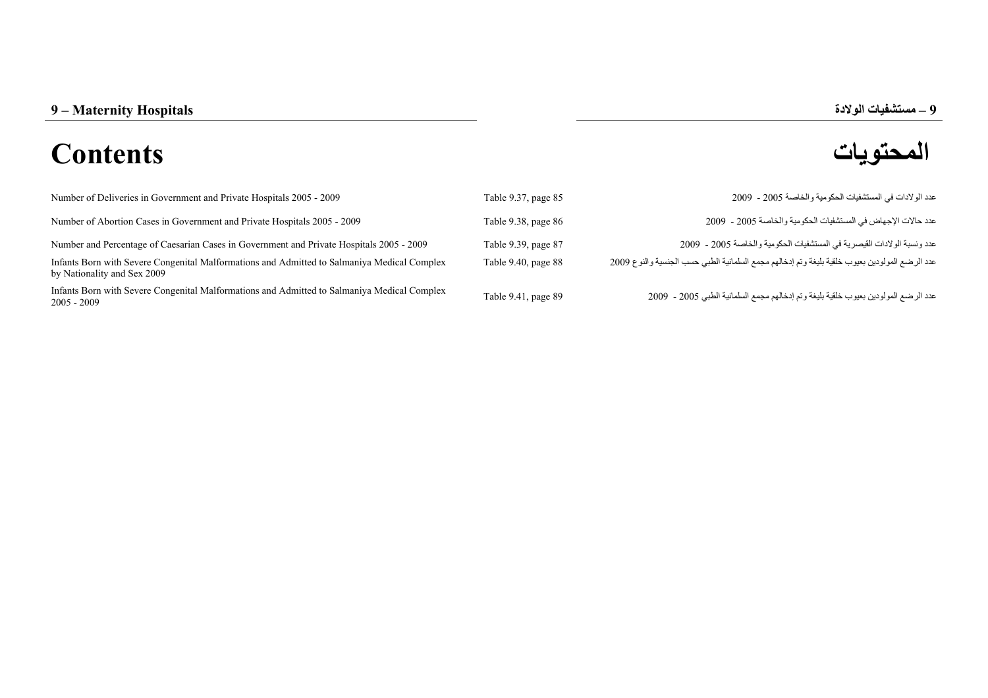## **المحتويات Contents**



**–**

| Number of Deliveries in Government and Private Hospitals 2005 - 2009                                                       | Table 9.37, page 85 | عدد الولادات في المستشفيات الحكومية والخاصة 2005 - 2009                                        |
|----------------------------------------------------------------------------------------------------------------------------|---------------------|------------------------------------------------------------------------------------------------|
| Number of Abortion Cases in Government and Private Hospitals 2005 - 2009                                                   | Table 9.38, page 86 | عدد حالات الإجهاض في المستشفيات الحكومية والخاصة 2005 - 2009                                   |
| Number and Percentage of Caesarian Cases in Government and Private Hospitals 2005 - 2009                                   | Table 9.39, page 87 | عدد و نسبة الو لادات القيصر ية في المستشفيات الحكو مية و الخاصـة 2005 - 2009                   |
| Infants Born with Severe Congenital Malformations and Admitted to Salmaniya Medical Complex<br>by Nationality and Sex 2009 | Table 9.40, page 88 | عدد الرضع المولودين بعيوب خلقية بليغة وتم إدخالهم مجمع السلمانية الطبي حسب الجنسية والنوع 2009 |
| Infants Born with Severe Congenital Malformations and Admitted to Salmaniya Medical Complex<br>2005 - 2009                 | Table 9.41, page 89 | عدد الرضع المولودين بعيوب خلقية بليغة وتم إدخالهم مجمع السلمانية الطبي 2005 - 2009             |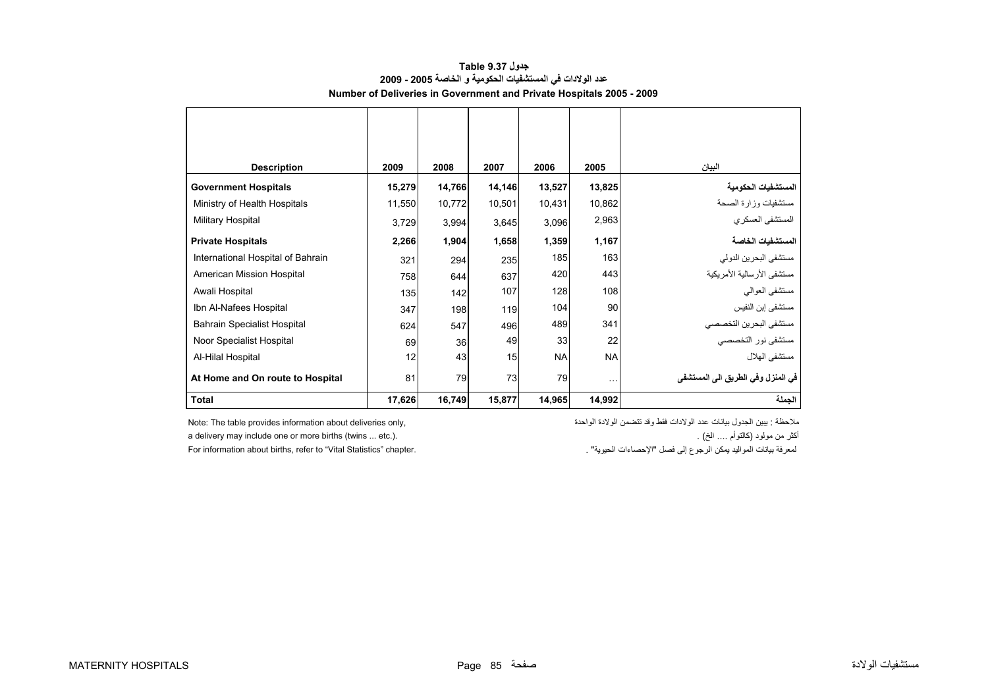<span id="page-1-0"></span>

| <b>Description</b>                 | 2009   | 2008   | 2007   | 2006      | 2005      | البيان                            |
|------------------------------------|--------|--------|--------|-----------|-----------|-----------------------------------|
| <b>Government Hospitals</b>        | 15,279 | 14,766 | 14,146 | 13,527    | 13,825    | المستشفيات الحكومية               |
| Ministry of Health Hospitals       | 11,550 | 10,772 | 10,501 | 10,431    | 10,862    | مستشفيات وزارة الصحة              |
| Military Hospital                  | 3,729  | 3,994  | 3,645  | 3,096     | 2,963     | المستشفى العسكري                  |
| <b>Private Hospitals</b>           | 2,266  | 1,904  | 1,658  | 1,359     | 1,167     | المستشفيات الخاصة                 |
| International Hospital of Bahrain  | 321    | 294    | 235    | 185       | 163       | مستشفى البحرين الدولي             |
| American Mission Hospital          | 758    | 644    | 637    | 420       | 443       | مستشفى الأرسالية الأمريكية        |
| Awali Hospital                     | 135    | 142    | 107    | 128       | 108       | مستشفى العوالى                    |
| Ibn Al-Nafees Hospital             | 347    | 198    | 119    | 104       | 90        | مستشفى إبن النفيس                 |
| <b>Bahrain Specialist Hospital</b> | 624    | 547    | 496    | 489       | 341       | مستشفى البحرين التخصصي            |
| Noor Specialist Hospital           | 69     | 36     | 49     | 33        | 22        | مستشفى نور التخصصبي               |
| Al-Hilal Hospital                  | 12     | 43     | 15     | <b>NA</b> | <b>NA</b> | مستشفى الهلال                     |
| At Home and On route to Hospital   | 81     | 79     | 73     | 79        | $\cdots$  | في المنزل وفي الطريق الي المستشفى |
| <b>Total</b>                       | 17,626 | 16,749 | 15,877 | 14,965    | 14,992    | الجملة                            |

## **جدول 9.37 Table عدد الولادات في المستشفيات الحكومية <sup>و</sup> الخاصة 2005 - 2009 Number of Deliveries in Government and Private Hospitals 2005 - 2009**

For information about births, refer to "Vital Statistics" chapter.

ملاحظة : يبين الجدول بيانات عدد الولادات فقط وقد تتضمن الولادة الواحدة ,only deliveries about deliveries only d

a delivery may include one or more births (twins ... etc.). . (الخ .... آالتوأم (مولود من أآثر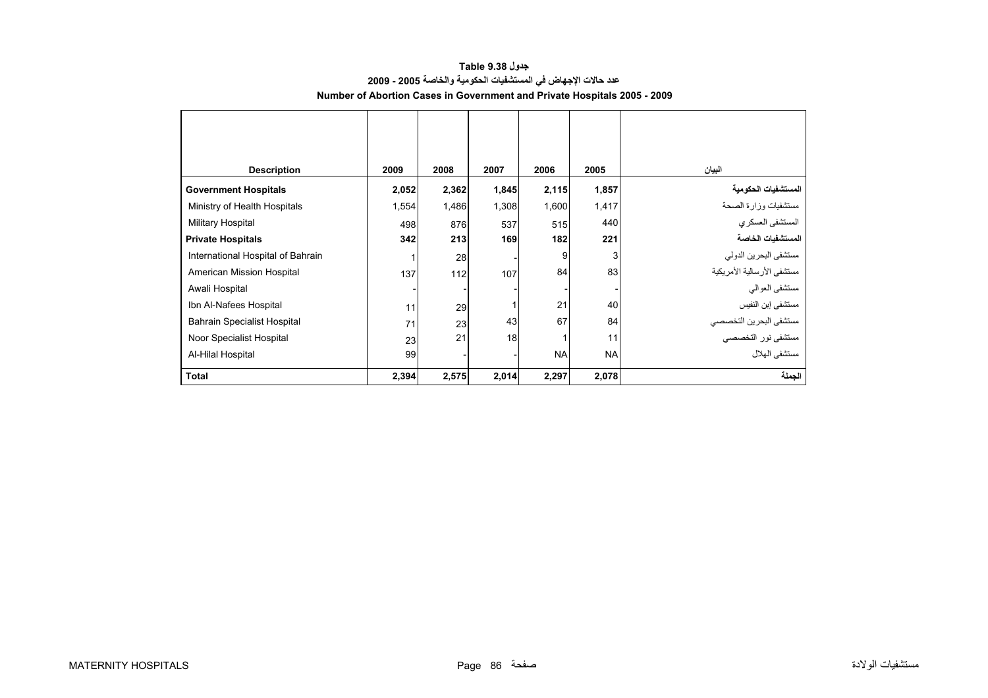## **جدول 9.38 Table عدد حالات الإجهاض في المستشفيات الحكومية والخاصة 2005 - 2009 Number of Abortion Cases in Government and Private Hospitals 2005 - 2009**

<span id="page-2-0"></span>

| <b>Description</b>                 | 2009  | 2008  | 2007  | 2006      | 2005      | البيان                     |
|------------------------------------|-------|-------|-------|-----------|-----------|----------------------------|
| <b>Government Hospitals</b>        | 2,052 | 2,362 | 1,845 | 2,115     | 1,857     | المستشفيات الحكومية        |
| Ministry of Health Hospitals       | 1,554 | 1,486 | 1,308 | 1,600     | 1,417     | مستشفيات وزارة الصحة       |
| Military Hospital                  | 498   | 876   | 537   | 515       | 440       | المستشفى العسكري           |
| <b>Private Hospitals</b>           | 342   | 213   | 169   | 182       | 221       | المستشفيات الخاصة          |
| International Hospital of Bahrain  |       | 28    |       | 9         | 3         | مستشفى البحرين الدولي      |
| American Mission Hospital          | 137   | 112   | 107   | 84        | 83        | مستشفى الأرسالية الأمريكية |
| Awali Hospital                     |       |       |       |           |           | مستشفى العوالمي            |
| Ibn Al-Nafees Hospital             | 11    | 29    |       | 21        | 40        | مستشفى إبن النفيس          |
| <b>Bahrain Specialist Hospital</b> | 71    | 23    | 43    | 67        | 84        | مستشفى البحرين التخصصي     |
| Noor Specialist Hospital           | 23    | 21    | 18    |           | 11        | مستشفى نور التخصصي         |
| Al-Hilal Hospital                  | 99    |       |       | <b>NA</b> | <b>NA</b> | مستشفى الهلال              |
| <b>Total</b>                       | 2,394 | 2,575 | 2,014 | 2,297     | 2,078     | الجملة                     |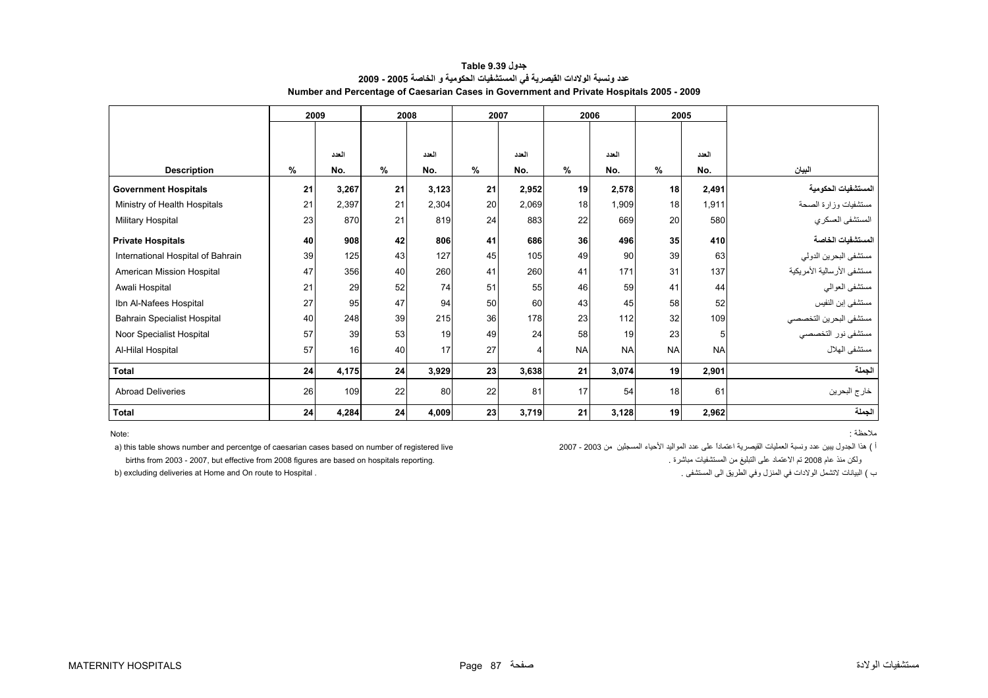| جدول Table 9.39                                                                          |
|------------------------------------------------------------------------------------------|
| عدد ونسبة الولادات القيصرية في المستشفيات الحكومية و الخاصة 2005 - 2009                  |
| Number and Percentage of Caesarian Cases in Government and Private Hospitals 2005 - 2009 |

<span id="page-3-0"></span>

|                                    | 2009 |       |    |       | 2008            |       |           | 2007      |           | 2006      |                            | 2005 |  |
|------------------------------------|------|-------|----|-------|-----------------|-------|-----------|-----------|-----------|-----------|----------------------------|------|--|
|                                    |      |       |    |       |                 |       |           |           |           |           |                            |      |  |
|                                    |      | العدد |    | العدد |                 | العدد |           | العدد     |           | العدد     |                            |      |  |
| <b>Description</b>                 | %    | No.   | %  | No.   | $\%$            | No.   | %         | No.       | %         | No.       | البيان                     |      |  |
| <b>Government Hospitals</b>        | 21   | 3,267 | 21 | 3,123 | 21              | 2,952 | 19        | 2,578     | 18        | 2,491     | المستشفيات الحكومية        |      |  |
| Ministry of Health Hospitals       | 21   | 2,397 | 21 | 2,304 | 20              | 2,069 | 18        | 1,909     | 18        | 1,911     | مستشفيات وزارة الصحة       |      |  |
| Military Hospital                  | 23   | 870   | 21 | 819   | 24              | 883   | 22        | 669       | 20        | 580       | المستشفى العسكري           |      |  |
| <b>Private Hospitals</b>           | 40   | 908   | 42 | 806   | 41              | 686   | 36        | 496       | 35        | 410       | المستشفيات الخاصة          |      |  |
| International Hospital of Bahrain  | 39   | 125   | 43 | 127   | 45              | 105   | 49        | 90        | 39        | 63        | مستشفى البحرين الدولي      |      |  |
| American Mission Hospital          | 47   | 356   | 40 | 260   | 41              | 260   | 41        | 171       | 31        | 137       | مستشفى الأرسالية الأمريكية |      |  |
| Awali Hospital                     | 21   | 29    | 52 | 74    | 51              | 55    | 46        | 59        | 41        | 44        | مستشفى العوالي             |      |  |
| Ibn Al-Nafees Hospital             | 27   | 95    | 47 | 94    | 50 <sup>1</sup> | 60    | 43        | 45        | 58        | 52        | مستشفى إبن النفيس          |      |  |
| <b>Bahrain Specialist Hospital</b> | 40   | 248   | 39 | 215   | 36              | 178   | 23        | 112       | 32        | 109       | مستشفى البحرين التخصصي     |      |  |
| Noor Specialist Hospital           | 57   | 39    | 53 | 19    | 49              | 24    | 58        | 19        | 23        | 5         | مستشفى نور التخصصي         |      |  |
| Al-Hilal Hospital                  | 57   | 16    | 40 | 17    | 27              |       | <b>NA</b> | <b>NA</b> | <b>NA</b> | <b>NA</b> | مستشفى الهلال              |      |  |
| <b>Total</b>                       | 24   | 4,175 | 24 | 3,929 | 23              | 3,638 | 21        | 3,074     | 19        | 2,901     | الجملة                     |      |  |
| <b>Abroad Deliveries</b>           | 26   | 109   | 22 | 80    | 22              | 81    | 17        | 54        | 18        | 61        | خار ج البحر ين             |      |  |
| <b>Total</b>                       | 24   | 4,284 | 24 | 4,009 | 23              | 3,719 | 21        | 3,128     | 19        | 2,962     | الجملة                     |      |  |

:Note

ملاحظة :

i ) هذا الجنول بيين عدد ونسبة العمليات القيصرية اعتماداً على عدد المواليد الأحياء المسجلين من 2003 - 2007 - 20<br>أ ) هذا الجنول بيين عدد ونسبة العمليات القيصرية اعتمادا على عدد المواليد الأحياء المسجلين من 2003 - 2007 - 200

ولكن منذ عام 2008 تم الإعلماد على اللتليغ من المستشفيات مباشرة . لمستشفيات من المستشفيات مباشرة المستشفيات من المستشفيات مباشرة المستشفيات من المستشفيات من المستشفيات من التبليغ من المستشفيات من المستشفيات من المستشفيات م

ب

b) excluding deliveries at Home and On route to Hospital .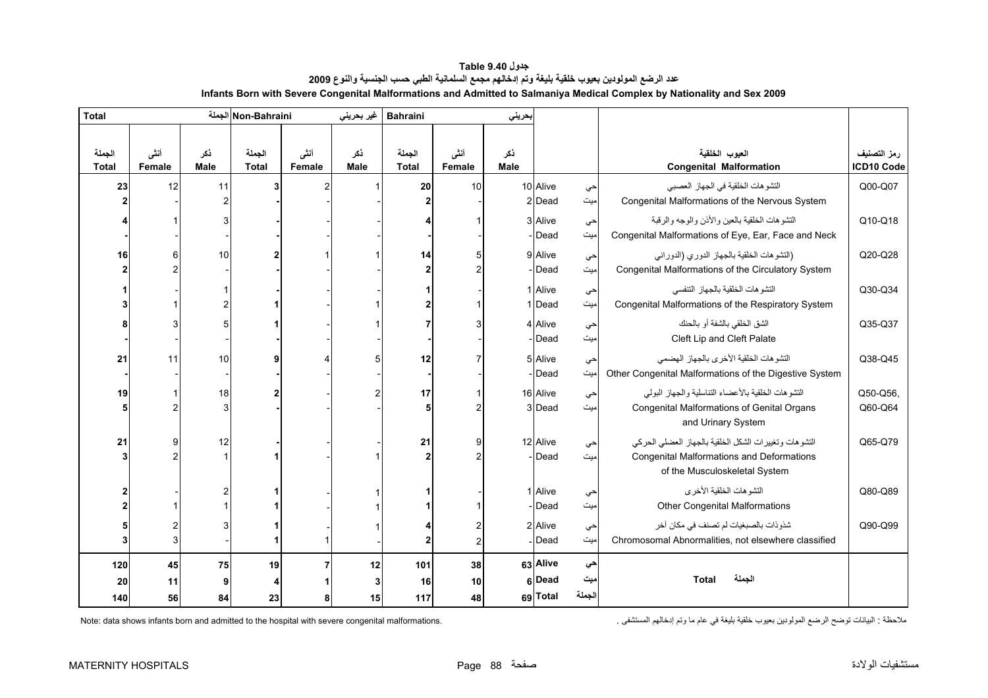<span id="page-4-0"></span>

| <b>Total</b>           | Non-Bahraini الجملة<br>غير بحريني |                |                        |                |                    | <b>Bahraini</b>        | بحريني         |                    |          |        |                                                                  |                           |
|------------------------|-----------------------------------|----------------|------------------------|----------------|--------------------|------------------------|----------------|--------------------|----------|--------|------------------------------------------------------------------|---------------------------|
| الجملة<br><b>Total</b> | أنشى<br>Female                    | نكر<br>Male    | الجملة<br><b>Total</b> | أننى<br>Female | ذكر<br><b>Male</b> | الجملة<br><b>Total</b> | أننى<br>Female | ذكر<br><b>Male</b> |          |        | العيوب الخلقية<br><b>Congenital Malformation</b>                 | رمز التصنيف<br>ICD10 Code |
| 23                     | 12                                | 11             |                        |                |                    | 20                     | 10             |                    | 10 Alive | حي     | النشو هات الخلقية في الجهاز العصبي                               | Q00-Q07                   |
|                        |                                   |                |                        |                |                    | 2                      |                |                    | 2 Dead   | ميت    | Congenital Malformations of the Nervous System                   |                           |
|                        |                                   |                |                        |                |                    |                        |                |                    | 3 Alive  | حي     | النشوهات الخلقية بالعين والأذن والوجه والرقبة                    | Q10-Q18                   |
|                        |                                   |                |                        |                |                    |                        |                |                    | -Dead    | میت    | Congenital Malformations of Eye, Ear, Face and Neck              |                           |
| 16                     | 6                                 | 10             |                        |                |                    | 14                     | 5              |                    | 9 Alive  | حي     | (التشوهات الخلقية بالجهاز الدورى (الدوراني                       | Q20-Q28                   |
|                        |                                   |                |                        |                |                    | $\overline{2}$         |                |                    | - Dead   | میت    | Congenital Malformations of the Circulatory System               |                           |
|                        |                                   |                |                        |                |                    | 1                      |                |                    | 1 Alive  | حي     | النشو هات الخلقية بالجهاز التنفسي                                | Q30-Q34                   |
|                        |                                   | $\overline{2}$ |                        |                |                    | $\overline{2}$         |                |                    | 1 Dead   | امیت   | Congenital Malformations of the Respiratory System               |                           |
|                        |                                   | 5              |                        |                |                    |                        |                |                    | 4 Alive  | حي     | الشق الخلقي بالشفة أو بالحنك                                     | Q35-Q37                   |
|                        |                                   |                |                        |                |                    |                        |                |                    | - Dead   | میت    | Cleft Lip and Cleft Palate                                       |                           |
| 21                     | 11                                | 10             |                        |                |                    | 12                     |                |                    | 5 Alive  | حي     | التشو هات الخلقية الأخرى بالجهاز الهضمى                          | Q38-Q45                   |
|                        |                                   |                |                        |                |                    |                        |                |                    | Dead     | میت    | Other Congenital Malformations of the Digestive System           |                           |
| 19                     |                                   | 18             |                        |                |                    | 17                     |                |                    | 16 Alive | حي     | التشوهات الخلقية بالأعضاء التناسلية والجهاز البولى               | Q50-Q56                   |
|                        |                                   | 3              |                        |                |                    | 5                      |                |                    | 3 Dead   | میت    | Congenital Malformations of Genital Organs<br>and Urinary System | Q60-Q64                   |
| 21                     | 9                                 | 12             |                        |                |                    | 21                     | 9              |                    | 12 Alive | حي     | التشوهات وتغييرات الشكل الخلقية بالجهاز العضلى الحركى            | Q65-Q79                   |
|                        |                                   |                |                        |                |                    | 2                      |                |                    | Dead     | میت    | <b>Congenital Malformations and Deformations</b>                 |                           |
|                        |                                   |                |                        |                |                    |                        |                |                    |          |        | of the Musculoskeletal System                                    |                           |
|                        |                                   |                |                        |                |                    | 1                      |                |                    | 1 Alive  | حي     | التشوهات الخلقية الأخرى                                          | Q80-Q89                   |
|                        |                                   |                |                        |                |                    | 1                      |                |                    | -Dead    | میت    | <b>Other Congenital Malformations</b>                            |                           |
|                        |                                   |                |                        |                |                    | 4                      | 2              |                    | 2 Alive  | حي     | شذوذات بالصبغيات لم تصنف في مكان أخر                             | Q90-Q99                   |
|                        | 3                                 |                |                        | 1              |                    | $\overline{2}$         | $\overline{c}$ |                    | Dead     | میت    | Chromosomal Abnormalities, not elsewhere classified              |                           |
| 120                    | 45                                | 75             | 19                     | $\overline{7}$ | 12                 | 101                    | 38             |                    | 63 Alive | حي     |                                                                  |                           |
| 20                     | 11                                | 9              | 4                      |                | 3                  | 16                     | 10             |                    | 6 Dead   | میت    | الجملة<br><b>Total</b>                                           |                           |
| 140                    | 56                                | 84             | 23                     | 8              | 15                 | 117                    | 48             |                    | 69 Total | الجملة |                                                                  |                           |

**جدول 9.40 Table عدد الرضع المولودين بعيوب خلقية بليغة وتم إدخالهم مجمع السلمانية الطبي حسب الجنسية والنوع<sup>2009</sup> Infants Born with Severe Congenital Malformations and Admitted to Salmaniya Medical Complex by Nationality and Sex 2009** 

ملاحظة : البيانات توضح الرضع المولودين بعيوب خلقية بليغة في عام ما وتم إدخالهم المستشفى . .malformations congenital severe with hospital the to admitted and born infants shows data :Note